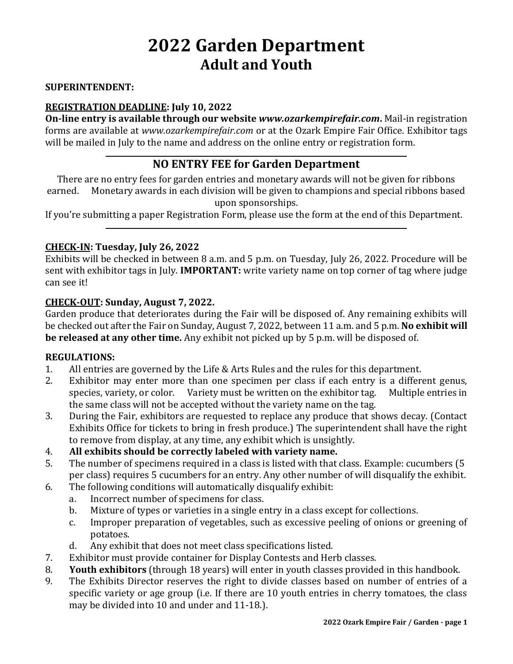# **2022 Garden Department Adult and Youth**

#### **SUPERINTENDENT:**

#### **REGISTRATION DEADLINE: July 10, 2022**

**On-line entry is available through our website** *www.ozarkempirefair.com***.** Mail-in registration forms are available at *www.ozarkempirefair.com* or at the Ozark Empire Fair Office. Exhibitor tags will be mailed in July to the name and address on the online entry or registration form.

## **NO ENTRY FEE for Garden Department**

There are no entry fees for garden entries and monetary awards will not be given for ribbons earned. Monetary awards in each division will be given to champions and special ribbons based upon sponsorships.

If you're submitting a paper Registration Form, please use the form at the end of this Department.

#### **CHECK-IN: Tuesday, July 26, 2022**

Exhibits will be checked in between 8 a.m. and 5 p.m. on Tuesday, July 26, 2022. Procedure will be sent with exhibitor tags in July. **IMPORTANT:** write variety name on top corner of tag where judge can see it!

#### **CHECK-OUT: Sunday, August 7, 2022.**

Garden produce that deteriorates during the Fair will be disposed of. Any remaining exhibits will be checked out after the Fair on Sunday, August 7, 2022, between 11 a.m. and 5 p.m. **No exhibit will be released at any other time.** Any exhibit not picked up by 5 p.m. will be disposed of.

#### **REGULATIONS:**

- 1. All entries are governed by the Life & Arts Rules and the rules for this department.
- 2. Exhibitor may enter more than one specimen per class if each entry is a different genus, species, variety, or color. Variety must be written on the exhibitor tag. Multiple entries in the same class will not be accepted without the variety name on the tag.
- 3. During the Fair, exhibitors are requested to replace any produce that shows decay. (Contact Exhibits Office for tickets to bring in fresh produce.) The superintendent shall have the right to remove from display, at any time, any exhibit which is unsightly.
- 4. **All exhibits should be correctly labeled with variety name.**
- 5. The number of specimens required in a class is listed with that class. Example: cucumbers (5 per class) requires 5 cucumbers for an entry. Any other number of will disqualify the exhibit.
- 6. The following conditions will automatically disqualify exhibit:
	- a. Incorrect number of specimens for class.
	- b. Mixture of types or varieties in a single entry in a class except for collections.
	- c. Improper preparation of vegetables, such as excessive peeling of onions or greening of potatoes.
	- d. Any exhibit that does not meet class specifications listed.
- 7. Exhibitor must provide container for Display Contests and Herb classes.
- 8. **Youth exhibitors** (through 18 years) will enter in youth classes provided in this handbook.
- 9. The Exhibits Director reserves the right to divide classes based on number of entries of a specific variety or age group (i.e. If there are 10 youth entries in cherry tomatoes, the class may be divided into 10 and under and 11-18.).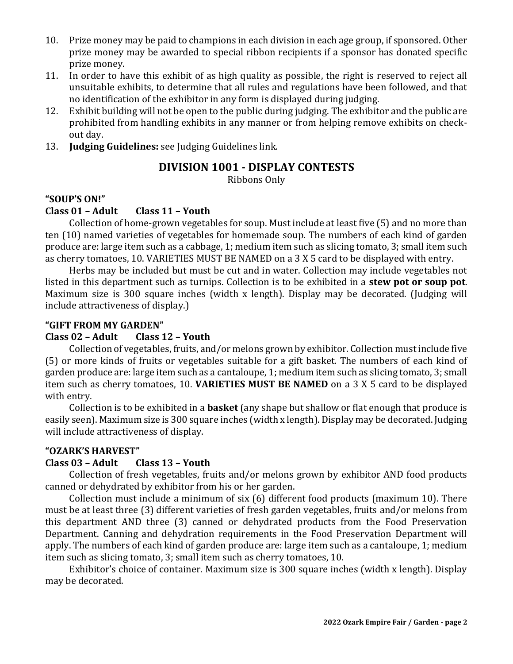- 10. Prize money may be paid to champions in each division in each age group, if sponsored. Other prize money may be awarded to special ribbon recipients if a sponsor has donated specific prize money.
- 11. In order to have this exhibit of as high quality as possible, the right is reserved to reject all unsuitable exhibits, to determine that all rules and regulations have been followed, and that no identification of the exhibitor in any form is displayed during judging.
- 12. Exhibit building will not be open to the public during judging. The exhibitor and the public are prohibited from handling exhibits in any manner or from helping remove exhibits on checkout day.
- 13. **Judging Guidelines:** see Judging Guidelines link.

## **DIVISION 1001 - DISPLAY CONTESTS**

Ribbons Only

#### **"SOUP'S ON!"**

#### **Class 01 – Adult Class 11 – Youth**

Collection of home-grown vegetables for soup. Must include at least five (5) and no more than ten (10) named varieties of vegetables for homemade soup. The numbers of each kind of garden produce are: large item such as a cabbage, 1; medium item such as slicing tomato, 3; small item such as cherry tomatoes, 10. VARIETIES MUST BE NAMED on a 3 X 5 card to be displayed with entry.

Herbs may be included but must be cut and in water. Collection may include vegetables not listed in this department such as turnips. Collection is to be exhibited in a **stew pot or soup pot**. Maximum size is 300 square inches (width x length). Display may be decorated. (Judging will include attractiveness of display.)

#### **"GIFT FROM MY GARDEN"**

#### **Class 02 – Adult Class 12 – Youth**

Collection of vegetables, fruits, and/or melons grown by exhibitor. Collection must include five (5) or more kinds of fruits or vegetables suitable for a gift basket. The numbers of each kind of garden produce are: large item such as a cantaloupe, 1; medium item such as slicing tomato, 3; small item such as cherry tomatoes, 10. **VARIETIES MUST BE NAMED** on a 3 X 5 card to be displayed with entry.

Collection is to be exhibited in a **basket** (any shape but shallow or flat enough that produce is easily seen). Maximum size is 300 square inches (width x length). Display may be decorated. Judging will include attractiveness of display.

#### **"OZARK'S HARVEST"**

#### **Class 03 – Adult Class 13 – Youth**

Collection of fresh vegetables, fruits and/or melons grown by exhibitor AND food products canned or dehydrated by exhibitor from his or her garden.

Collection must include a minimum of six (6) different food products (maximum 10). There must be at least three (3) different varieties of fresh garden vegetables, fruits and/or melons from this department AND three (3) canned or dehydrated products from the Food Preservation Department. Canning and dehydration requirements in the Food Preservation Department will apply. The numbers of each kind of garden produce are: large item such as a cantaloupe, 1; medium item such as slicing tomato, 3; small item such as cherry tomatoes, 10.

Exhibitor's choice of container. Maximum size is 300 square inches (width x length). Display may be decorated.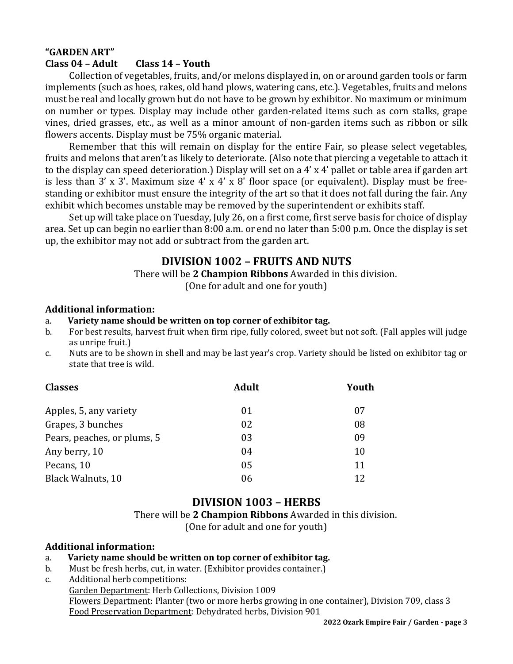#### **"GARDEN ART" Class 04 – Adult Class 14 – Youth**

Collection of vegetables, fruits, and/or melons displayed in, on or around garden tools or farm implements (such as hoes, rakes, old hand plows, watering cans, etc.). Vegetables, fruits and melons must be real and locally grown but do not have to be grown by exhibitor. No maximum or minimum on number or types. Display may include other garden-related items such as corn stalks, grape vines, dried grasses, etc., as well as a minor amount of non-garden items such as ribbon or silk flowers accents. Display must be 75% organic material.

Remember that this will remain on display for the entire Fair, so please select vegetables, fruits and melons that aren't as likely to deteriorate. (Also note that piercing a vegetable to attach it to the display can speed deterioration.) Display will set on a 4' x 4' pallet or table area if garden art is less than 3' x 3'. Maximum size 4' x 4' x 8' floor space (or equivalent). Display must be freestanding or exhibitor must ensure the integrity of the art so that it does not fall during the fair. Any exhibit which becomes unstable may be removed by the superintendent or exhibits staff.

Set up will take place on Tuesday, July 26, on a first come, first serve basis for choice of display area. Set up can begin no earlier than 8:00 a.m. or end no later than 5:00 p.m. Once the display is set up, the exhibitor may not add or subtract from the garden art.

## **DIVISION 1002 – FRUITS AND NUTS**

There will be **2 Champion Ribbons** Awarded in this division.

(One for adult and one for youth)

#### **Additional information:**

- a. **Variety name should be written on top corner of exhibitor tag.**
- b. For best results, harvest fruit when firm ripe, fully colored, sweet but not soft. (Fall apples will judge as unripe fruit.)
- c. Nuts are to be shown in shell and may be last year's crop. Variety should be listed on exhibitor tag or state that tree is wild.

| <b>Classes</b>              | <b>Adult</b> | Youth |  |
|-----------------------------|--------------|-------|--|
| Apples, 5, any variety      | 01           | 07    |  |
| Grapes, 3 bunches           | 02           | 08    |  |
| Pears, peaches, or plums, 5 | 03           | 09    |  |
| Any berry, 10               | 04           | 10    |  |
| Pecans, 10                  | 05           | 11    |  |
| <b>Black Walnuts, 10</b>    | 06           | 12    |  |

## **DIVISION 1003 – HERBS**

There will be **2 Champion Ribbons** Awarded in this division. (One for adult and one for youth)

#### **Additional information:**

#### a. **Variety name should be written on top corner of exhibitor tag.**

- b. Must be fresh herbs, cut, in water. (Exhibitor provides container.)
- c. Additional herb competitions:
	- Garden Department: Herb Collections, Division 1009

Flowers Department: Planter (two or more herbs growing in one container), Division 709, class 3 Food Preservation Department: Dehydrated herbs, Division 901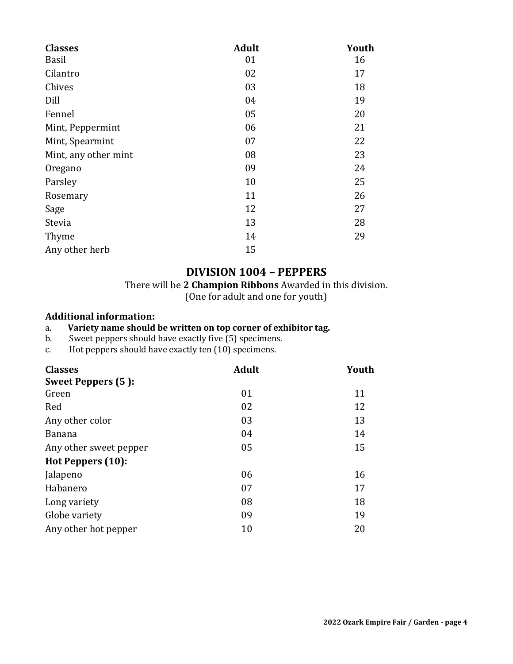| <b>Classes</b>       | <b>Adult</b> | Youth |  |
|----------------------|--------------|-------|--|
| Basil                | 01           | 16    |  |
| Cilantro             | 02           | 17    |  |
| Chives               | 03           | 18    |  |
| Dill                 | 04           | 19    |  |
| Fennel               | 05           | 20    |  |
| Mint, Peppermint     | 06           | 21    |  |
| Mint, Spearmint      | 07           | 22    |  |
| Mint, any other mint | 08           | 23    |  |
| Oregano              | 09           | 24    |  |
| Parsley              | 10           | 25    |  |
| Rosemary             | 11           | 26    |  |
| Sage                 | 12           | 27    |  |
| Stevia               | 13           | 28    |  |
| Thyme                | 14           | 29    |  |
| Any other herb       | 15           |       |  |

## **DIVISION 1004 – PEPPERS**

There will be **2 Champion Ribbons** Awarded in this division.

(One for adult and one for youth)

#### **Additional information:**

a. **Variety name should be written on top corner of exhibitor tag.**

b. Sweet peppers should have exactly five (5) specimens.

c. Hot peppers should have exactly ten (10) specimens.

| <b>Classes</b>         | <b>Adult</b> | Youth |  |
|------------------------|--------------|-------|--|
| Sweet Peppers (5):     |              |       |  |
| Green                  | 01           | 11    |  |
| Red                    | 02           | 12    |  |
| Any other color        | 03           | 13    |  |
| <b>Banana</b>          | 04           | 14    |  |
| Any other sweet pepper | 05           | 15    |  |
| Hot Peppers (10):      |              |       |  |
| Jalapeno               | 06           | 16    |  |
| Habanero               | 07           | 17    |  |
| Long variety           | 08           | 18    |  |
| Globe variety          | 09           | 19    |  |
| Any other hot pepper   | 10           | 20    |  |
|                        |              |       |  |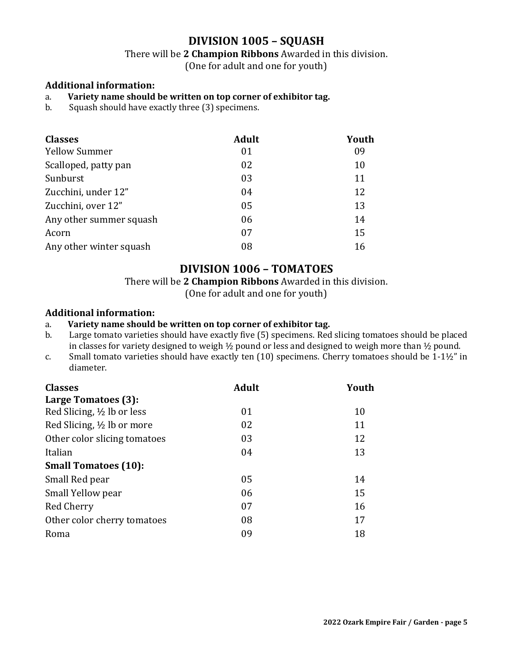## **DIVISION 1005 – SQUASH**

There will be **2 Champion Ribbons** Awarded in this division.

(One for adult and one for youth)

#### **Additional information:**

#### a. **Variety name should be written on top corner of exhibitor tag.**

b. Squash should have exactly three (3) specimens.

| <b>Classes</b>          | <b>Adult</b> | Youth |
|-------------------------|--------------|-------|
| <b>Yellow Summer</b>    | 01           | 09    |
| Scalloped, patty pan    | 02           | 10    |
| Sunburst                | 03           | 11    |
| Zucchini, under 12"     | 04           | 12    |
| Zucchini, over 12"      | 05           | 13    |
| Any other summer squash | 06           | 14    |
| Acorn                   | 07           | 15    |
| Any other winter squash | 08           | 16    |

## **DIVISION 1006 – TOMATOES**

There will be **2 Champion Ribbons** Awarded in this division.

(One for adult and one for youth)

#### **Additional information:**

#### a. **Variety name should be written on top corner of exhibitor tag.**

- b. Large tomato varieties should have exactly five (5) specimens. Red slicing tomatoes should be placed in classes for variety designed to weigh ½ pound or less and designed to weigh more than ½ pound.
- c. Small tomato varieties should have exactly ten (10) specimens. Cherry tomatoes should be 1-1½" in diameter.

| <b>Classes</b>               | <b>Adult</b> | Youth |  |
|------------------------------|--------------|-------|--|
| Large Tomatoes (3):          |              |       |  |
| Red Slicing, 1/2 lb or less  | 01           | 10    |  |
| Red Slicing, 1/2 lb or more  | 02           | 11    |  |
| Other color slicing tomatoes | 03           | 12    |  |
| Italian                      | 04           | 13    |  |
| <b>Small Tomatoes (10):</b>  |              |       |  |
| Small Red pear               | 05           | 14    |  |
| Small Yellow pear            | 06           | 15    |  |
| Red Cherry                   | 07           | 16    |  |
| Other color cherry tomatoes  | 08           | 17    |  |
| Roma                         | 09           | 18    |  |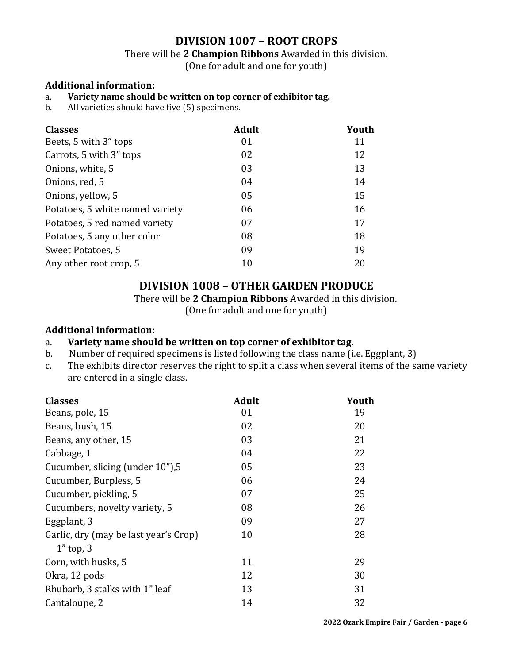## **DIVISION 1007 – ROOT CROPS**

There will be **2 Champion Ribbons** Awarded in this division.

(One for adult and one for youth)

#### **Additional information:**

#### a. **Variety name should be written on top corner of exhibitor tag.**

b. All varieties should have five (5) specimens.

| <b>Classes</b>                  | <b>Adult</b> | Youth |
|---------------------------------|--------------|-------|
| Beets, 5 with 3" tops           | 01           | 11    |
| Carrots, 5 with 3" tops         | 02           | 12    |
| Onions, white, 5                | 03           | 13    |
| Onions, red, 5                  | 04           | 14    |
| Onions, yellow, 5               | 05           | 15    |
| Potatoes, 5 white named variety | 06           | 16    |
| Potatoes, 5 red named variety   | 07           | 17    |
| Potatoes, 5 any other color     | 08           | 18    |
| Sweet Potatoes, 5               | 09           | 19    |
| Any other root crop, 5          | 10           | 20    |

### **DIVISION 1008 – OTHER GARDEN PRODUCE**

There will be **2 Champion Ribbons** Awarded in this division.

(One for adult and one for youth)

#### **Additional information:**

#### a. **Variety name should be written on top corner of exhibitor tag.**

- b. Number of required specimens is listed following the class name (i.e. Eggplant, 3)
- c. The exhibits director reserves the right to split a class when several items of the same variety are entered in a single class.

| <b>Classes</b>                        | <b>Adult</b> | Youth |
|---------------------------------------|--------------|-------|
| Beans, pole, 15                       | 01           | 19    |
| Beans, bush, 15                       | 02           | 20    |
| Beans, any other, 15                  | 03           | 21    |
| Cabbage, 1                            | 04           | 22    |
| Cucumber, slicing (under 10"), 5      | 05           | 23    |
| Cucumber, Burpless, 5                 | 06           | 24    |
| Cucumber, pickling, 5                 | 07           | 25    |
| Cucumbers, novelty variety, 5         | 08           | 26    |
| Eggplant, 3                           | 09           | 27    |
| Garlic, dry (may be last year's Crop) | 10           | 28    |
| $1"$ top, 3                           |              |       |
| Corn, with husks, 5                   | 11           | 29    |
| Okra, 12 pods                         | 12           | 30    |
| Rhubarb, 3 stalks with 1" leaf        | 13           | 31    |
| Cantaloupe, 2                         | 14           | 32    |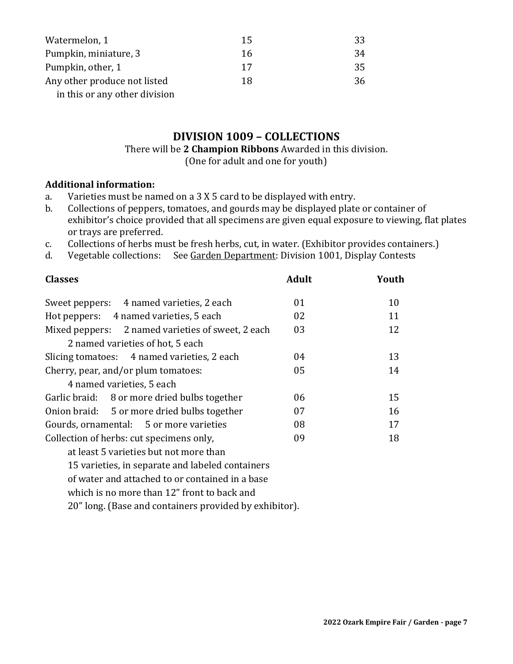| Watermelon, 1                 | 15 | 33 |
|-------------------------------|----|----|
| Pumpkin, miniature, 3         | 16 | 34 |
| Pumpkin, other, 1             | 17 | 35 |
| Any other produce not listed  | 18 | 36 |
| in this or any other division |    |    |

## **DIVISION 1009 – COLLECTIONS**

#### There will be **2 Champion Ribbons** Awarded in this division. (One for adult and one for youth)

#### **Additional information:**

- a. Varieties must be named on a 3 X 5 card to be displayed with entry.
- b. Collections of peppers, tomatoes, and gourds may be displayed plate or container of exhibitor's choice provided that all specimens are given equal exposure to viewing, flat plates or trays are preferred.
- c. Collections of herbs must be fresh herbs, cut, in water. (Exhibitor provides containers.)
- d. Vegetable collections: See Garden Department: Division 1001, Display Contests

| <b>Classes</b>                                         | <b>Adult</b> | Youth |
|--------------------------------------------------------|--------------|-------|
| Sweet peppers: 4 named varieties, 2 each               | 01           | 10    |
| Hot peppers: 4 named varieties, 5 each                 | 02           | 11    |
| Mixed peppers: 2 named varieties of sweet, 2 each      | 03           | 12    |
| 2 named varieties of hot, 5 each                       |              |       |
| Slicing tomatoes: 4 named varieties, 2 each            | 04           | 13    |
| Cherry, pear, and/or plum tomatoes:                    | 05           | 14    |
| 4 named varieties, 5 each                              |              |       |
| Garlic braid: 8 or more dried bulbs together           | 06           | 15    |
| Onion braid: 5 or more dried bulbs together            | 07           | 16    |
| Gourds, ornamental: 5 or more varieties                | 08           | 17    |
| 09<br>Collection of herbs: cut specimens only,         |              |       |
| at least 5 varieties but not more than                 |              |       |
| 15 varieties, in separate and labeled containers       |              |       |
| of water and attached to or contained in a base        |              |       |
| which is no more than 12" front to back and            |              |       |
| 20" long. (Base and containers provided by exhibitor). |              |       |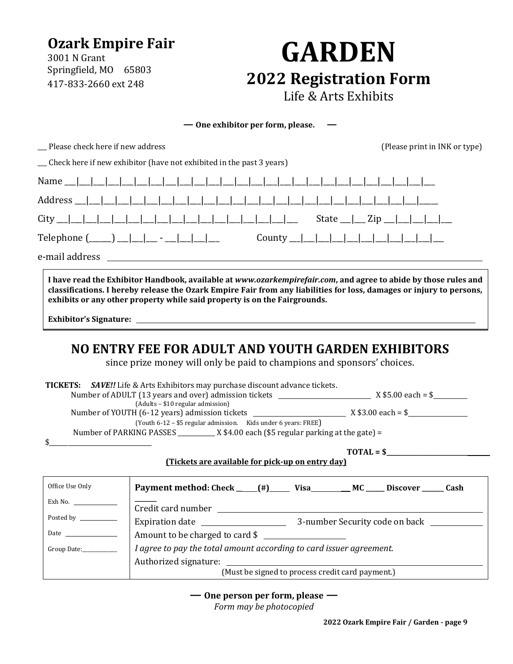## **Ozark Empire Fair**

3001 N Grant Springfield, MO 65803 417-833-2660 ext 248

# **GARDEN 2022 Registration Form** Life & Arts Exhibits

**— One exhibitor per form, please. —**

| __ Please check here if new address                                                                             | (Please print in INK or type) |
|-----------------------------------------------------------------------------------------------------------------|-------------------------------|
| __ Check here if new exhibitor (have not exhibited in the past 3 years)                                         |                               |
|                                                                                                                 |                               |
|                                                                                                                 |                               |
| $City$ $\Box$                                                                                                   |                               |
|                                                                                                                 |                               |
|                                                                                                                 |                               |
| I have read the Exhibitor Handbook, available at www.ozarkempirefair.com, and agree to abide by those rules and |                               |

**classifications. I hereby release the Ozark Empire Fair from any liabilities for loss, damages or injury to persons, exhibits or any other property while said property is on the Fairgrounds.**

**Exhibitor's Signature:** 

## **NO ENTRY FEE FOR ADULT AND YOUTH GARDEN EXHIBITORS**

since prize money will only be paid to champions and sponsors' choices.

|                                                               | <b>TICKETS:</b> SAVE!! Life & Arts Exhibitors may purchase discount advance tickets. |  |  |
|---------------------------------------------------------------|--------------------------------------------------------------------------------------|--|--|
|                                                               |                                                                                      |  |  |
| (Adults - \$10 regular admission)                             |                                                                                      |  |  |
|                                                               |                                                                                      |  |  |
| $\mathbf{\$}$<br>the control of the control of the control of | (Youth 6-12 – \$5 regular admission. Kids under 6 years: FREE)                       |  |  |
|                                                               | $\text{TOTAL} = $$                                                                   |  |  |
|                                                               | (Tickets are available for pick-up on entry day)                                     |  |  |
|                                                               |                                                                                      |  |  |
| Office Use Only                                               | Payment method: Check ___(#)_____ Visa_________ MC _____ Discover ______ Cash        |  |  |
| Exh No.                                                       |                                                                                      |  |  |
| Posted by __________                                          |                                                                                      |  |  |
|                                                               |                                                                                      |  |  |
|                                                               | Amount to be charged to card \$                                                      |  |  |
| Group Date:                                                   | I agree to pay the total amount according to card issuer agreement.                  |  |  |
|                                                               | Authorized signature:                                                                |  |  |
|                                                               | (Must be signed to process credit card payment.)                                     |  |  |
|                                                               |                                                                                      |  |  |

**— One person per form, please —**

*Form may be photocopied*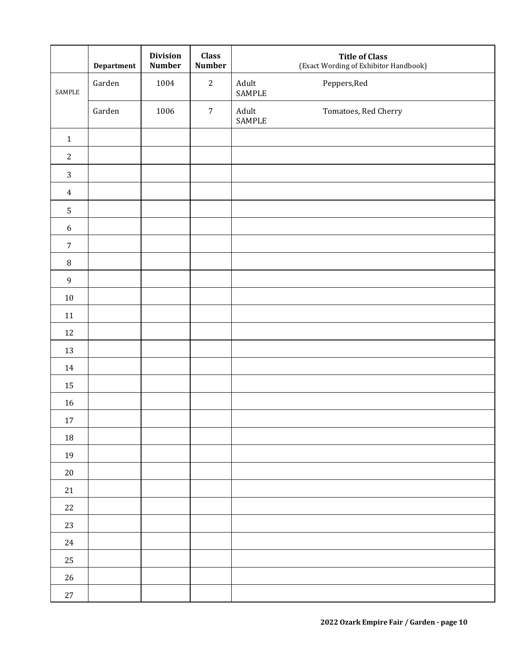|                  | Department | <b>Division</b><br><b>Number</b> | <b>Class</b><br><b>Number</b> | <b>Title of Class</b><br>(Exact Wording of Exhibitor Handbook) |
|------------------|------------|----------------------------------|-------------------------------|----------------------------------------------------------------|
| SAMPLE           | Garden     | 1004                             | $\mathbf{2}$                  | Adult<br>Peppers, Red<br>SAMPLE                                |
|                  | Garden     | 1006                             | $\sqrt{7}$                    | Adult<br>Tomatoes, Red Cherry<br>SAMPLE                        |
| $\mathbf 1$      |            |                                  |                               |                                                                |
| $\sqrt{2}$       |            |                                  |                               |                                                                |
| $\sqrt{3}$       |            |                                  |                               |                                                                |
| $\boldsymbol{4}$ |            |                                  |                               |                                                                |
| $\sqrt{5}$       |            |                                  |                               |                                                                |
| $\boldsymbol{6}$ |            |                                  |                               |                                                                |
| $\sqrt{7}$       |            |                                  |                               |                                                                |
| $\, 8$           |            |                                  |                               |                                                                |
| $\mathsf 9$      |            |                                  |                               |                                                                |
| $10\,$           |            |                                  |                               |                                                                |
| $11\,$           |            |                                  |                               |                                                                |
| $12\,$           |            |                                  |                               |                                                                |
| 13               |            |                                  |                               |                                                                |
| 14               |            |                                  |                               |                                                                |
| $15\,$           |            |                                  |                               |                                                                |
| 16               |            |                                  |                               |                                                                |
| $17\,$           |            |                                  |                               |                                                                |
| 18               |            |                                  |                               |                                                                |
| 19               |            |                                  |                               |                                                                |
| $20\,$           |            |                                  |                               |                                                                |
| 21               |            |                                  |                               |                                                                |
| $22\,$           |            |                                  |                               |                                                                |
| 23               |            |                                  |                               |                                                                |
| 24               |            |                                  |                               |                                                                |
| 25               |            |                                  |                               |                                                                |
| $26\,$           |            |                                  |                               |                                                                |
| $27\,$           |            |                                  |                               |                                                                |